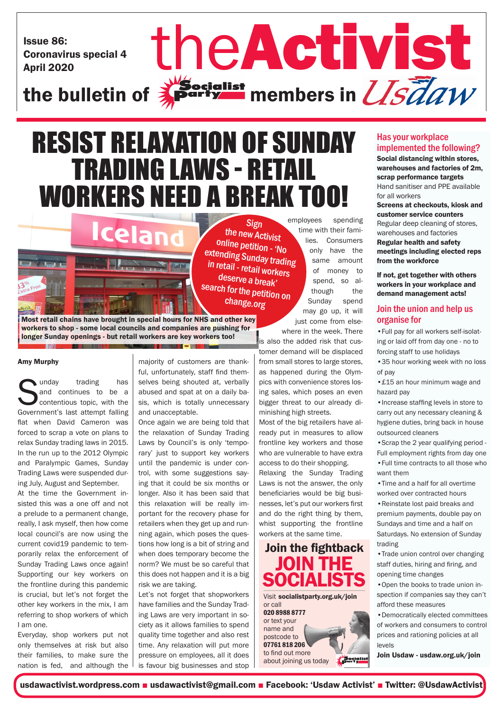Issue 86: Coronavirus special 4 Issue 86:<br>Coronavirus special 4<br>the bulletin of **Activist** members in *U.S.d.a.w* 

## RESIST RELAXATION OF SUNDAY TRADING LAWS - RETAIL WORKERS NEED A BREAK TOO!

Sign the new Activist online petition - 'No extending Sunday trading in retail - retail workers deserve a break' search for the petition on change.org

Most retail chains have brought in special hours for NHS and other key workers to shop - some local councils and companies are pushing for longer Sunday openings - but retail workers are key workers too!

W 5 M

Celan

### Amy Murphy

**Sunday** trading has and continues to be a contentious topic, with the Government's last attempt falling and continues to be a contentious topic, with the flat when David Cameron was forced to scrap a vote on plans to relax Sunday trading laws in 2015. In the run up to the 2012 Olympic and Paralympic Games, Sunday Trading Laws were suspended during July, August and September.

At the time the Government insisted this was a one off and not a prelude to a permanent change, really, I ask myself, then how come local council's are now using the current covid19 pandemic to temporarily relax the enforcement of Sunday Trading Laws once again! Supporting our key workers on the frontline during this pandemic is crucial, but let's not forget the other key workers in the mix, I am referring to shop workers of which I am one.

Everyday, shop workers put not only themselves at risk but also their families, to make sure the nation is fed, and although the majority of customers are thankful, unfortunately, staff find themselves being shouted at, verbally abused and spat at on a daily basis, which is totally unnecessary and unacceptable.

 $\mathbf{u} - \mathbf{v}$ 

Once again we are being told that the relaxation of Sunday Trading Laws by Council's is only 'temporary' just to support key workers until the pandemic is under control, with some suggestions saying that it could be six months or longer. Also it has been said that this relaxation will be really important for the recovery phase for retailers when they get up and running again, which poses the questions how long is a bit of string and when does temporary become the norm? We must be so careful that this does not happen and it is a big risk we are taking.

Let's not forget that shopworkers have families and the Sunday Trading Laws are very important in society as it allows families to spend quality time together and also rest time. Any relaxation will put more pressure on employees, all it does is favour big businesses and stop employees spending time with their families. Consumers only have the same amount of money to spend, so although the Sunday spend may go up, it will just come from else-

 $\frac{1}{2}$ Socialist<br>Registed members in  $U\bar{s}\bar{d}aw$ 

where in the week. There is also the added risk that cus-

tomer demand will be displaced from small stores to large stores, as happened during the Olympics with convenience stores losing sales, which poses an even bigger threat to our already diminishing high streets.

Most of the big retailers have already put in measures to allow frontline key workers and those who are vulnerable to have extra access to do their shopping.

Relaxing the Sunday Trading Laws is not the answer, the only beneficiaries would be big businesses, let's put our workers first and do the right thing by them, whist supporting the frontline workers at the same time.

Join the fightback JOIN THE **SOCIALISTS** Visit socialistparty.org.uk/join or call 020 8988 8777 or text your name and postcode to 07761 818 206 to find out more Socialist about joining us today

### Has your workplace implemented the following?

Social distancing within stores, warehouses and factories of 2m, scrap performance targets Hand sanitiser and PPE available for all workers Screens at checkouts, kiosk and customer service counters Regular deep cleaning of stores, warehouses and factories Regular health and safety meetings including elected reps from the workforce

If not, get together with others workers in your workplace and demand management acts!

### Join the union and help us organise for

•Full pay for all workers self-isolating or laid off from day one - no to forcing staff to use holidays

•35 hour working week with no loss of pay

•£15 an hour minimum wage and hazard pay

•Increase staffing levels in store to carry out any necessary cleaning & hygiene duties, bring back in house outsourced cleaners

•Scrap the 2 year qualifying period - Full employment rights from day one •Full time contracts to all those who want them

•Time and a half for all overtime worked over contracted hours •Reinstate lost paid breaks and premium payments, double pay on Sundays and time and a half on Saturdays. No extension of Sunday trading

•Trade union control over changing staff duties, hiring and firing, and opening time changes

•Open the books to trade union inspection if companies say they can't afford these measures

•Democratically elected committees of workers and consumers to control prices and rationing policies at all levels

Join Usdaw - usdaw.org.uk/join

usdawactivist.wordpress.com ■ usdawactivist@gmail.com ■ Facebook: 'Usdaw Activist' ■ Twitter: @UsdawActivist